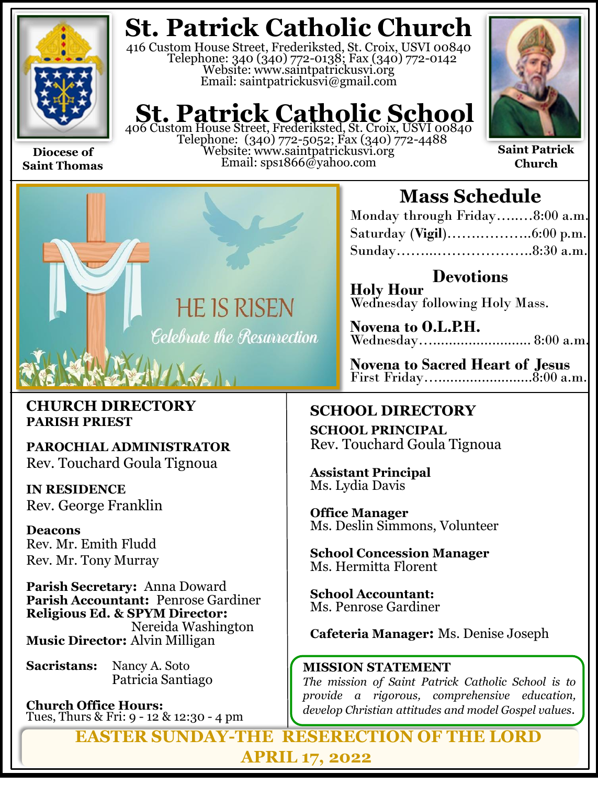

**Saint Thomas**

**St. Patrick Catholic Church**

416 Custom House Street, Frederiksted, St. Croix, USVI 00840 Telephone: 340 (340) 772-0138; Fax (340) 772-0142 Website: www.saintpatrickusvi.org Email: saintpatrickusvi@gmail.com

# **St. Patrick Catholic School**<br>406 Custom House Street, Frederiksted, St. Croix, USVI 00840

Telephone: (340) 772-5052; Fax (340) 772-4488 Website: www.saintpatrickusvi.org Email: sps1866@yahoo.com



**Saint Patrick Church**



### **CHURCH DIRECTORY PARISH PRIEST**

**PAROCHIAL ADMINISTRATOR** Rev. Touchard Goula Tignoua

**IN RESIDENCE** Rev. George Franklin

**Deacons** Rev. Mr. Emith Fludd Rev. Mr. Tony Murray

**Parish Secretary:** Anna Doward **Parish Accountant:** Penrose Gardiner **Religious Ed. & SPYM Director:**  Nereida Washington **Music Director:** Alvin Milligan

**Sacristans:** Nancy A. Soto Patricia Santiago

**Church Office Hours:**  Tues, Thurs & Fri: 9 - 12 & 12:30 - 4 pm

## **Mass Schedule**

| Monday through Friday8:00 a.m. |  |
|--------------------------------|--|
|                                |  |
|                                |  |

**Devotions Holy Hour**  Wednesday following Holy Mass.

**Novena to O.L.P.H.** Wednesday…......................... 8:00 a.m.

**Novena to Sacred Heart of Jesus** First Friday…........................8:00 a.m.

## **SCHOOL DIRECTORY**

**SCHOOL PRINCIPAL** Rev. Touchard Goula Tignoua

**Assistant Principal** Ms. Lydia Davis

**Office Manager** Ms. Deslin Simmons, Volunteer

**School Concession Manager** Ms. Hermitta Florent

**School Accountant:**  Ms. Penrose Gardiner

**Cafeteria Manager:** Ms. Denise Joseph

### **MISSION STATEMENT**

*The mission of Saint Patrick Catholic School is to provide a rigorous, comprehensive education, develop Christian attitudes and model Gospel values.*

**EASTER SUNDAY-THE RESERECTION OF THE LORD APRIL 17, 2022**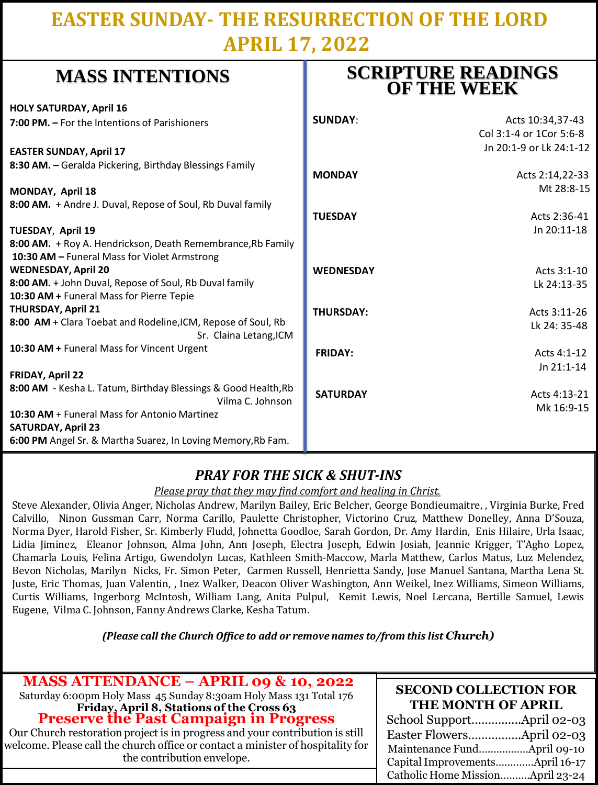## **EASTER SUNDAY- THE RESURRECTION OF THE LORD APRIL 17, 2022**

**SCRIPTURE READINGS** 

| whapp higher in the country.                                   | <b>OF THE WEEK</b> |                         |
|----------------------------------------------------------------|--------------------|-------------------------|
| <b>HOLY SATURDAY, April 16</b>                                 |                    |                         |
| 7:00 PM. - For the Intentions of Parishioners                  | <b>SUNDAY:</b>     | Acts 10:34,37-43        |
|                                                                |                    | Col 3:1-4 or 1Cor 5:6-8 |
| <b>EASTER SUNDAY, April 17</b>                                 |                    | Jn 20:1-9 or Lk 24:1-12 |
| 8:30 AM. - Geralda Pickering, Birthday Blessings Family        |                    |                         |
|                                                                | <b>MONDAY</b>      | Acts 2:14,22-33         |
| MONDAY, April 18                                               |                    | Mt 28:8-15              |
| 8:00 AM. + Andre J. Duval, Repose of Soul, Rb Duval family     |                    |                         |
|                                                                | <b>TUESDAY</b>     | Acts 2:36-41            |
| TUESDAY, April 19                                              |                    | Jn 20:11-18             |
| 8:00 AM. + Roy A. Hendrickson, Death Remembrance, Rb Family    |                    |                         |
| 10:30 AM - Funeral Mass for Violet Armstrong                   |                    |                         |
| <b>WEDNESDAY, April 20</b>                                     | <b>WEDNESDAY</b>   | Acts 3:1-10             |
| 8:00 AM. + John Duval, Repose of Soul, Rb Duval family         |                    | Lk 24:13-35             |
| 10:30 AM + Funeral Mass for Pierre Tepie                       |                    |                         |
| THURSDAY, April 21                                             | <b>THURSDAY:</b>   | Acts 3:11-26            |
| 8:00 AM + Clara Toebat and Rodeline, ICM, Repose of Soul, Rb   |                    | Lk 24: 35-48            |
| Sr. Claina Letang, ICM                                         |                    |                         |
| 10:30 AM + Funeral Mass for Vincent Urgent                     | <b>FRIDAY:</b>     | Acts 4:1-12             |
|                                                                |                    | Jn 21:1-14              |
| <b>FRIDAY, April 22</b>                                        |                    |                         |
| 8:00 AM - Kesha L. Tatum, Birthday Blessings & Good Health, Rb | <b>SATURDAY</b>    | Acts 4:13-21            |
| Vilma C. Johnson                                               |                    | Mk 16:9-15              |
| <b>10:30 AM + Funeral Mass for Antonio Martinez</b>            |                    |                         |
| <b>SATURDAY, April 23</b>                                      |                    |                         |
| 6:00 PM Angel Sr. & Martha Suarez, In Loving Memory, Rb Fam.   |                    |                         |

### *PRAY FOR THE SICK & SHUT-INS*

*Please pray that they may find comfort and healing in Christ.*

Steve Alexander, Olivia Anger, Nicholas Andrew, Marilyn Bailey, Eric Belcher, George Bondieumaitre, , Virginia Burke, Fred Calvillo, Ninon Gussman Carr, Norma Carillo, Paulette Christopher, Victorino Cruz, Matthew Donelley, Anna D'Souza, Norma Dyer, Harold Fisher, Sr. Kimberly Fludd, Johnetta Goodloe, Sarah Gordon, Dr. Amy Hardin, Enis Hilaire, Urla Isaac, Lidia Jiminez, Eleanor Johnson, Alma John, Ann Joseph, Electra Joseph, Edwin Josiah, Jeannie Krigger, T'Agho Lopez, Chamarla Louis, Felina Artigo, Gwendolyn Lucas, Kathleen Smith-Maccow, Marla Matthew, Carlos Matus, Luz Melendez, Bevon Nicholas, Marilyn Nicks, Fr. Simon Peter, Carmen Russell, Henrietta Sandy, Jose Manuel Santana, Martha Lena St. Juste, Eric Thomas, Juan Valentin, , Inez Walker, Deacon Oliver Washington, Ann Weikel, Inez Williams, Simeon Williams, Curtis Williams, Ingerborg McIntosh, William Lang, Anita Pulpul, Kemit Lewis, Noel Lercana, Bertille Samuel, Lewis Eugene, Vilma C. Johnson, Fanny Andrews Clarke, Kesha Tatum.

*(Please call the Church Office to add or remove names to/from this list Church)*

| <b>MASS ATTENDANCE - APRIL 09 &amp; 10, 2022</b><br>Saturday 6:00pm Holy Mass 45 Sunday 8:30am Holy Mass 131 Total 176<br>Friday, April 8, Stations of the Cross 63<br>Preserve the Past Campaign in Progress<br>Our Church restoration project is in progress and your contribution is still<br>welcome. Please call the church office or contact a minister of hospitality for<br>the contribution envelope. | <b>SECOND COLLECTION FOR</b><br>THE MONTH OF APRIL<br>Easter FlowersApril 02-03<br>Maintenance FundApril 09-10<br>Capital ImprovementsApril 16-17<br>Catholic Home MissionApril 23-24 |
|----------------------------------------------------------------------------------------------------------------------------------------------------------------------------------------------------------------------------------------------------------------------------------------------------------------------------------------------------------------------------------------------------------------|---------------------------------------------------------------------------------------------------------------------------------------------------------------------------------------|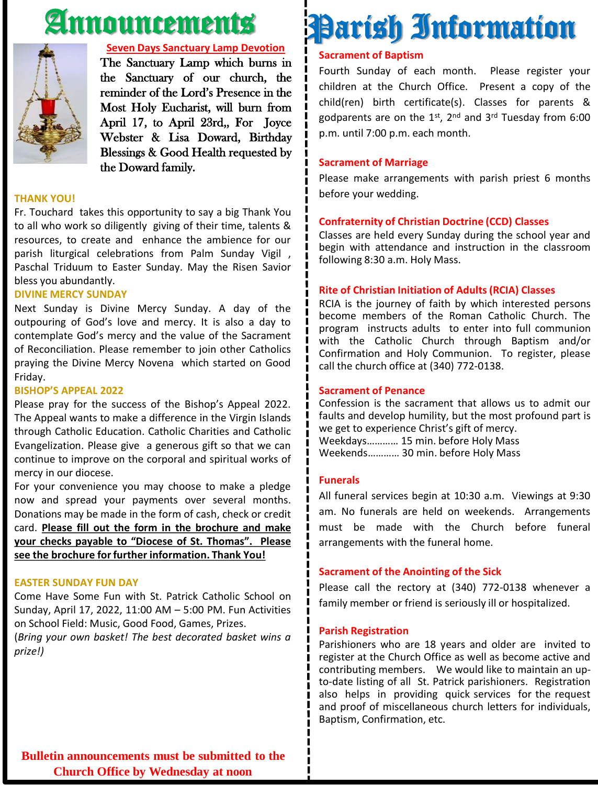## Announcements



### **Seven Days Sanctuary Lamp Devotion**

The Sanctuary Lamp which burns in the Sanctuary of our church, the reminder of the Lord's Presence in the Most Holy Eucharist, will burn from April 17, to April 23rd,, For Joyce Webster & Lisa Doward, Birthday Blessings & Good Health requested by the Doward family.

### **THANK YOU!**

Fr. Touchard takes this opportunity to say a big Thank You to all who work so diligently giving of their time, talents & resources, to create and enhance the ambience for our parish liturgical celebrations from Palm Sunday Vigil , Paschal Triduum to Easter Sunday. May the Risen Savior bless you abundantly.

### **DIVINE MERCY SUNDAY**

Next Sunday is Divine Mercy Sunday. A day of the outpouring of God's love and mercy. It is also a day to contemplate God's mercy and the value of the Sacrament of Reconciliation. Please remember to join other Catholics praying the Divine Mercy Novena which started on Good Friday.

### **BISHOP'S APPEAL 2022**

Please pray for the success of the Bishop's Appeal 2022. The Appeal wants to make a difference in the Virgin Islands through Catholic Education. Catholic Charities and Catholic Evangelization. Please give a generous gift so that we can continue to improve on the corporal and spiritual works of mercy in our diocese.

For your convenience you may choose to make a pledge now and spread your payments over several months. Donations may be made in the form of cash, check or credit card. **Please fill out the form in the brochure and make your checks payable to "Diocese of St. Thomas". Please see the brochure forfurther information. Thank You!**

### **EASTER SUNDAY FUN DAY**

Come Have Some Fun with St. Patrick Catholic School on Sunday, April 17, 2022, 11:00 AM – 5:00 PM. Fun Activities on School Field: Music, Good Food, Games, Prizes.

(*Bring your own basket! The best decorated basket wins a prize!)*

# Parish Information

### **Sacrament of Baptism**

Fourth Sunday of each month. Please register your children at the Church Office. Present a copy of the child(ren) birth certificate(s). Classes for parents & godparents are on the 1st, 2<sup>nd</sup> and 3<sup>rd</sup> Tuesday from 6:00 p.m. until 7:00 p.m. each month.

### **Sacrament of Marriage**

Please make arrangements with parish priest 6 months before your wedding.

### **Confraternity of Christian Doctrine (CCD) Classes**

Classes are held every Sunday during the school year and begin with attendance and instruction in the classroom following 8:30 a.m. Holy Mass.

#### **Rite of Christian Initiation of Adults (RCIA) Classes**

RCIA is the journey of faith by which interested persons become members of the Roman Catholic Church. The program instructs adults to enter into full communion with the Catholic Church through Baptism and/or Confirmation and Holy Communion. To register, please call the church office at (340) 772-0138.

### **Sacrament of Penance**

Confession is the sacrament that allows us to admit our faults and develop humility, but the most profound part is we get to experience Christ's gift of mercy. Weekdays………… 15 min. before Holy Mass Weekends………… 30 min. before Holy Mass

### **Funerals**

All funeral services begin at 10:30 a.m. Viewings at 9:30 am. No funerals are held on weekends. Arrangements must be made with the Church before funeral arrangements with the funeral home.

### **Sacrament of the Anointing of the Sick**

Please call the rectory at (340) 772-0138 whenever a family member or friend is seriously ill or hospitalized.

#### **Parish Registration**

Parishioners who are 18 years and older are invited to register at the Church Office as well as become active and contributing members. We would like to maintain an upto-date listing of all St. Patrick parishioners. Registration also helps in providing quick services for the request and proof of miscellaneous church letters for individuals, Baptism, Confirmation, etc.

**Bulletin announcements must be submitted to the Church Office by Wednesday at noon**